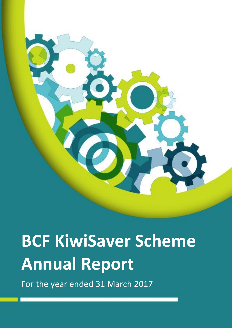

# **BCF KiwiSaver Scheme Annual Report**

For the year ended 31 March 2017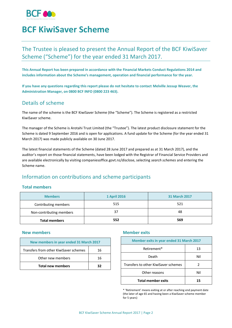

## **BCF KiwiSaver Scheme**

## The Trustee is pleased to present the Annual Report of the BCF KiwiSaver Scheme ("Scheme") for the year ended 31 March 2017.

**This Annual Report has been prepared in accordance with the Financial Markets Conduct Regulations 2014 and includes information about the Scheme's management, operation and financial performance for the year.** 

**If you have any questions regarding this report please do not hesitate to contact Melville Jessup Weaver, the Administration Manager, on 0800 BCF INFO (0800 223 463).**

## Details of scheme

The name of the scheme is the BCF KiwiSaver Scheme (the "Scheme"). The Scheme is registered as a restricted KiwiSaver scheme.

The manager of the Scheme is Arotahi Trust Limited (the "Trustee"). The latest product disclosure statement for the Scheme is dated 9 September 2016 and is open for applications. A fund update for the Scheme (for the year ended 31 March 2017) was made publicly available on 30 June 2017.

The latest financial statements of the Scheme (dated 28 June 2017 and prepared as at 31 March 2017), and the auditor's report on those financial statements, have been lodged with the Registrar of Financial Service Providers and are available electronically by visiting companiesoffice.govt.nz/disclose, selecting *search schemes* and entering the Scheme name.

## Information on contributions and scheme participants

### **Total members**

| <b>Members</b>           | <b>1 April 2016</b> | <b>31 March 2017</b> |
|--------------------------|---------------------|----------------------|
| Contributing members     | 515                 | 521                  |
| Non-contributing members | 37                  | 48                   |
| <b>Total members</b>     | 552                 | 569                  |

#### **New members**

| New members in year ended 31 March 2017      |    |
|----------------------------------------------|----|
| Transfers from other KiwiSaver schemes<br>16 |    |
| Other new members                            | 16 |
| <b>Total new members</b>                     | 32 |

#### **Member exits**

| <b>Member exits in year ended 31 March 2017</b> |     |
|-------------------------------------------------|-----|
| Retirement*                                     | 13  |
| Death                                           | Nil |
| Transfers to other KiwiSaver schemes            | 2   |
| Other reasons                                   | Nil |
| <b>Total member exits</b>                       |     |

\* 'Retirement' means exiting at or after reaching end payment date (the later of age 65 and having been a KiwiSaver scheme member for 5 years)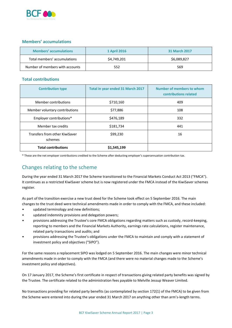

### **Members' accumulations**

| Members' accumulations          | <b>1 April 2016</b> | <b>31 March 2017</b> |
|---------------------------------|---------------------|----------------------|
| Total members' accumulations    | \$4,749,201         | \$6,089,827          |
| Number of members with accounts | 552                 | 569                  |

## **Total contributions**

| <b>Contribution type</b>                  | <b>Total in year ended 31 March 2017</b> | Number of members to whom<br>contributions related |
|-------------------------------------------|------------------------------------------|----------------------------------------------------|
| Member contributions                      | \$710,160                                | 409                                                |
| Member voluntary contributions            | \$77,886                                 | 108                                                |
| Employer contributions*                   | \$476,189                                | 332                                                |
| Member tax credits                        | \$181,734                                | 441                                                |
| Transfers from other KiwiSaver<br>schemes | \$99,230                                 | 16                                                 |
| <b>Total contributions</b>                | \$1,545,199                              |                                                    |

\* These are the net employer contributions credited to the Scheme after deducting employer's superannuation contribution tax.

## Changes relating to the scheme

During the year ended 31 March 2017 the Scheme transitioned to the Financial Markets Conduct Act 2013 ("FMCA"). It continues as a restricted KiwiSaver scheme but is now registered under the FMCA instead of the KiwiSaver schemes register.

As part of the transition exercise a new trust deed for the Scheme took effect on 5 September 2016. The main changes to the trust deed were technical amendments made in order to comply with the FMCA, and these included:

- updated terminology and new definitions;
- updated indemnity provisions and delegation powers;
- provisions addressing the Trustee's core FMCA obligations regarding matters such as custody, record-keeping, reporting to members and the Financial Markets Authority, earnings rate calculations, register maintenance, related party transactions and audits; and
- provisions addressing the Trustee's obligations under the FMCA to maintain and comply with a statement of investment policy and objectives ("SIPO").

For the same reasons a replacement SIPO was lodged on 5 September 2016. The main changes were minor technical amendments made in order to comply with the FMCA (and there were no material changes made to the Scheme's investment policy and objectives).

On 17 January 2017, the Scheme's first certificate in respect of transactions giving related party benefits was signed by the Trustee. The certificate related to the administration fees payable to Melville Jessup Weaver Limited.

No transactions providing for related party benefits (as contemplated by section 172(1) of the FMCA) to be given from the Scheme were entered into during the year ended 31 March 2017 on anything other than arm's-length terms.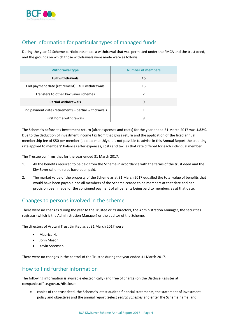

## Other information for particular types of managed funds

During the year 24 Scheme participants made a withdrawal that was permitted under the FMCA and the trust deed, and the grounds on which those withdrawals were made were as follows:

| <b>Withdrawal type</b>                              | <b>Number of members</b> |
|-----------------------------------------------------|--------------------------|
| <b>Full withdrawals</b>                             | 15                       |
| End payment date (retirement) – full withdrawals    | 13                       |
| Transfers to other KiwiSaver schemes                | 2                        |
| <b>Partial withdrawals</b>                          | 9                        |
| End payment date (retirement) - partial withdrawals |                          |
| First home withdrawals                              | 8                        |

The Scheme's before-tax investment return (after expenses and costs) for the year ended 31 March 2017 was **1.82%**. Due to the deduction of investment income tax from that gross return and the application of the fixed annual membership fee of \$50 per member (applied monthly), it is not possible to advise in this Annual Report the crediting rate applied to members' balances after expenses, costs and tax, as that rate differed for each individual member.

The Trustee confirms that for the year ended 31 March 2017:

- 1. All the benefits required to be paid from the Scheme in accordance with the terms of the trust deed and the KiwiSaver scheme rules have been paid.
- 2. The market value of the property of the Scheme as at 31 March 2017 equalled the total value of benefits that would have been payable had all members of the Scheme ceased to be members at that date and had provision been made for the continued payment of all benefits being paid to members as at that date.

## Changes to persons involved in the scheme

There were no changes during the year to the Trustee or its directors, the Administration Manager, the securities registrar (which is the Administration Manager) or the auditor of the Scheme.

The directors of Arotahi Trust Limited as at 31 March 2017 were:

- Maurice Hall
- John Mason
- Kevin Sorensen

There were no changes in the control of the Trustee during the year ended 31 March 2017.

## How to find further information

The following information is available electronically (and free of charge) on the Disclose Register at companiesoffice.govt.nz/disclose:

 copies of the trust deed, the Scheme's latest audited financial statements, the statement of investment policy and objectives and the annual report (select *search schemes* and enter the Scheme name) and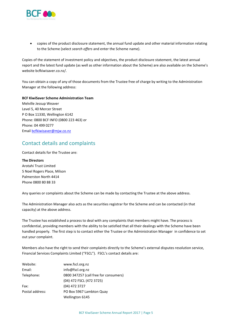

 copies of the product disclosure statement, the annual fund update and other material information relating to the Scheme (select *search offers* and enter the Scheme name).

Copies of the statement of investment policy and objectives, the product disclosure statement, the latest annual report and the latest fund update (as well as other information about the Scheme) are also available on the Scheme's website bcfkiwisaver.co.nz/.

You can obtain a copy of any of those documents from the Trustee free of charge by writing to the Administration Manager at the following address:

#### **BCF KiwiSaver Scheme Administration Team**

Melville Jessup Weaver Level 5, 40 Mercer Street P O Box 11330, Wellington 6142 Phone: 0800 BCF INFO (0800 223 463) or Phone: 04 499 0277 Email [bcfkiwisaver@mjw.co.nz](mailto:bcfkiwisaver@mjw.co.nz)

## Contact details and complaints

Contact details for the Trustee are:

#### **The Directors**

Arotahi Trust Limited 5 Noel Rogers Place, Milson Palmerston North 4414 Phone 0800 80 88 33

Any queries or complaints about the Scheme can be made by contacting the Trustee at the above address.

The Administration Manager also acts as the securities registrar for the Scheme and can be contacted (in that capacity) at the above address.

The Trustee has established a process to deal with any complaints that members might have. The process is confidential, providing members with the ability to be satisfied that all their dealings with the Scheme have been handled properly. The first step is to contact either the Trustee or the Administration Manager in confidence to set out your complaint.

Members also have the right to send their complaints directly to the Scheme's external disputes resolution service, Financial Services Complaints Limited ("FSCL"). FSCL's contact details are:

| Website:        | www.fscl.org.nz                       |
|-----------------|---------------------------------------|
| Email:          | info@fscl.org.nz                      |
| Telephone:      | 0800 347257 (call free for consumers) |
|                 | (04) 472 FSCL (472 3725)              |
| Fax:            | (04) 472 3727                         |
| Postal address: | PO Box 5967 Lambton Quay              |
|                 | Wellington 6145                       |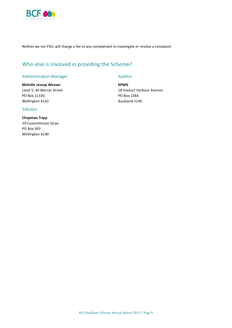

Neither we nor FSCL will charge a fee to any complainant to investigate or resolve a complaint.

## Who else is involved in providing the Scheme?

#### Administration Manager

#### **Melville Jessup Weaver**

Level 5, 40 Mercer Street PO Box 11330 Wellington 6142

#### Solicitor

**Chapman Tripp** 10 Customhouse Quay PO Box 993 Wellington 6140

#### Auditor

**KPMG** 18 Viaduct Harbour Avenue PO Box 1584 Auckland 1140